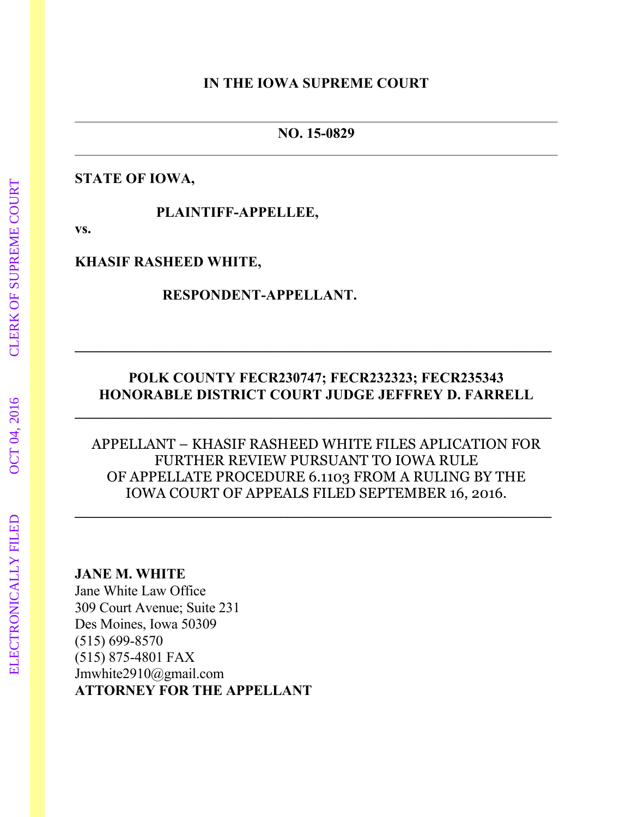#### **IN THE IOWA SUPREME COURT**

#### **NO. 15-0829**

#### **STATE OF IOWA,**

 **PLAINTIFF-APPELLEE,**

**vs.**

#### **KHASIF RASHEED WHITE,**

#### **RESPONDENT-APPELLANT.**

## **POLK COUNTY FECR230747; FECR232323; FECR235343 HONORABLE DISTRICT COURT JUDGE JEFFREY D. FARRELL**

APPELLANT – KHASIF RASHEED WHITE FILES APLICATION FOR FURTHER REVIEW PURSUANT TO IOWA RULE OF APPELLATE PROCEDURE 6.1103 FROM A RULING BY THE IOWA COURT OF APPEALS FILED SEPTEMBER 16, 2016.

**JANE M. WHITE**

Jane White Law Office 309 Court Avenue; Suite 231 Des Moines, Iowa 50309 (515) 699-8570 (515) 875-4801 FAX Jmwhite2910@gmail.com **ATTORNEY FOR THE APPELLANT**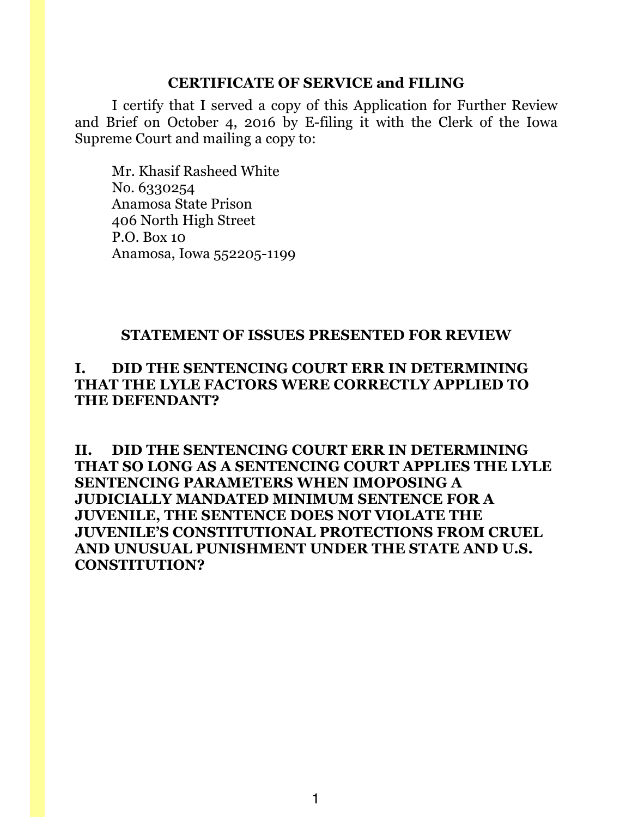#### **CERTIFICATE OF SERVICE and FILING**

I certify that I served a copy of this Application for Further Review and Brief on October 4, 2016 by E-filing it with the Clerk of the Iowa Supreme Court and mailing a copy to:

Mr. Khasif Rasheed White No. 6330254 Anamosa State Prison 406 North High Street P.O. Box 10 Anamosa, Iowa 552205-1199

#### **STATEMENT OF ISSUES PRESENTED FOR REVIEW**

## **I. DID THE SENTENCING COURT ERR IN DETERMINING THAT THE LYLE FACTORS WERE CORRECTLY APPLIED TO THE DEFENDANT?**

**II. DID THE SENTENCING COURT ERR IN DETERMINING THAT SO LONG AS A SENTENCING COURT APPLIES THE LYLE SENTENCING PARAMETERS WHEN IMOPOSING A JUDICIALLY MANDATED MINIMUM SENTENCE FOR A JUVENILE, THE SENTENCE DOES NOT VIOLATE THE JUVENILE'S CONSTITUTIONAL PROTECTIONS FROM CRUEL AND UNUSUAL PUNISHMENT UNDER THE STATE AND U.S. CONSTITUTION?**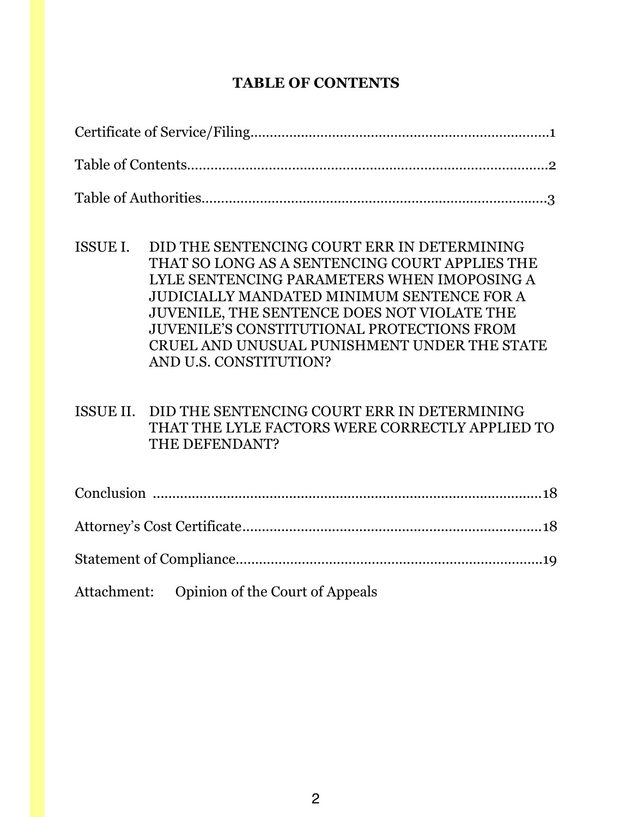# **TABLE OF CONTENTS**

| ISSUE I.  | DID THE SENTENCING COURT ERR IN DETERMINING<br>THAT SO LONG AS A SENTENCING COURT APPLIES THE<br>LYLE SENTENCING PARAMETERS WHEN IMOPOSING A<br>JUDICIALLY MANDATED MINIMUM SENTENCE FOR A<br>JUVENILE, THE SENTENCE DOES NOT VIOLATE THE<br><b>JUVENILE'S CONSTITUTIONAL PROTECTIONS FROM</b><br>CRUEL AND UNUSUAL PUNISHMENT UNDER THE STATE<br>AND U.S. CONSTITUTION? |  |
|-----------|--------------------------------------------------------------------------------------------------------------------------------------------------------------------------------------------------------------------------------------------------------------------------------------------------------------------------------------------------------------------------|--|
| ISSUE II. | DID THE SENTENCING COURT ERR IN DETERMINING<br>THAT THE LYLE FACTORS WERE CORRECTLY APPLIED TO<br>THE DEFENDANT?                                                                                                                                                                                                                                                         |  |
|           |                                                                                                                                                                                                                                                                                                                                                                          |  |
|           |                                                                                                                                                                                                                                                                                                                                                                          |  |
|           |                                                                                                                                                                                                                                                                                                                                                                          |  |

Attachment: Opinion of the Court of Appeals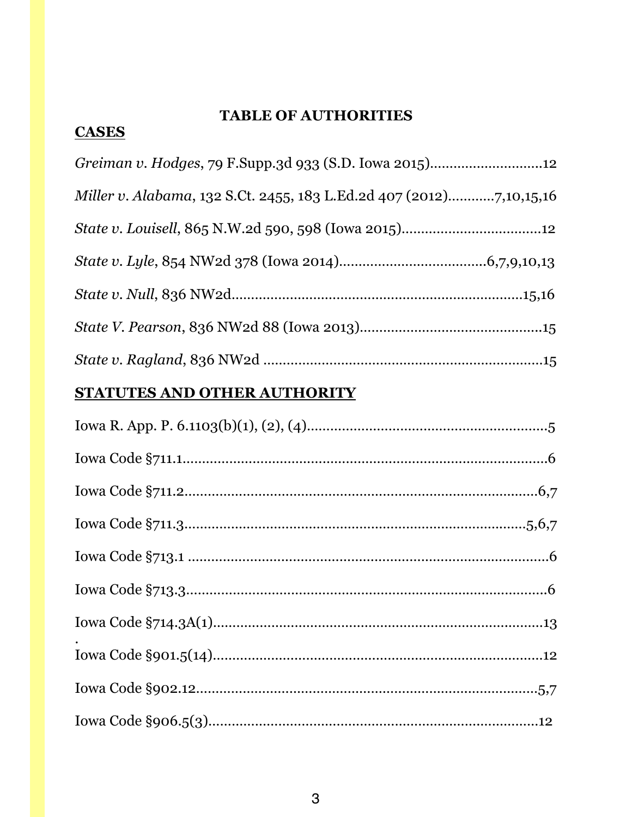## **TABLE OF AUTHORITIES**

# *Greiman v. Hodges*, 79 F.Supp.3d 933 (S.D. Iowa 2015)………………………..12 *Miller v. Alabama*, 132 S.Ct. 2455, 183 L.Ed.2d 407 (2012)…………7,10,15,16 *State v. Louisell*, 865 N.W.2d 590, 598 (Iowa 2015)………………………………12 *State v. Lyle*, 854 NW2d 378 (Iowa 2014)………………………………..6,7,9,10,13 *State v. Null*, 836 NW2d…………………………………………………………………15,16 *State V. Pearson*, 836 NW2d 88 (Iowa 2013)………………………………………..15 *State v. Ragland*, 836 NW2d ………………………………………………………………15

## **STATUTES AND OTHER AUTHORITY**

**CASES**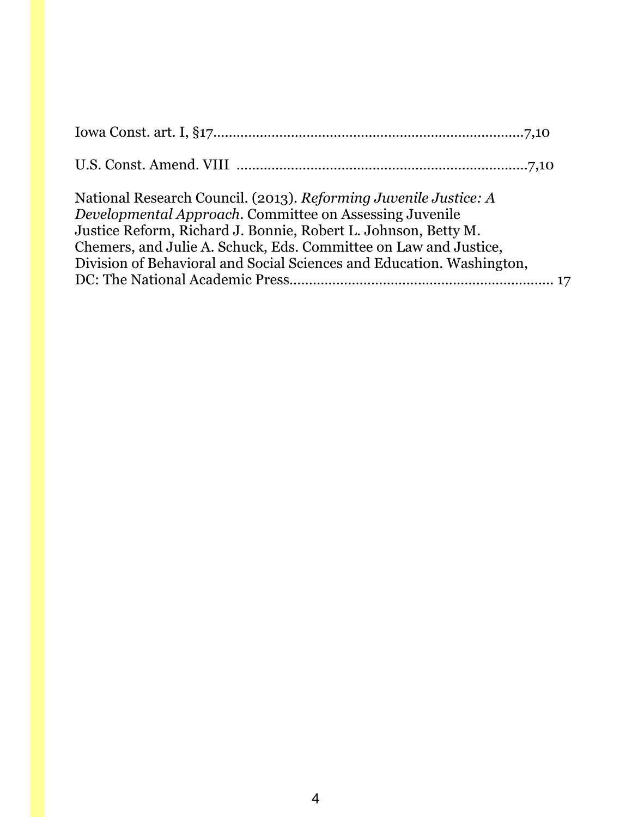| National Research Council. (2013). Reforming Juvenile Justice: A<br>Developmental Approach. Committee on Assessing Juvenile<br>Justice Reform, Richard J. Bonnie, Robert L. Johnson, Betty M.<br>Chemers, and Julie A. Schuck, Eds. Committee on Law and Justice,<br>Division of Behavioral and Social Sciences and Education. Washington, |  |
|--------------------------------------------------------------------------------------------------------------------------------------------------------------------------------------------------------------------------------------------------------------------------------------------------------------------------------------------|--|
|                                                                                                                                                                                                                                                                                                                                            |  |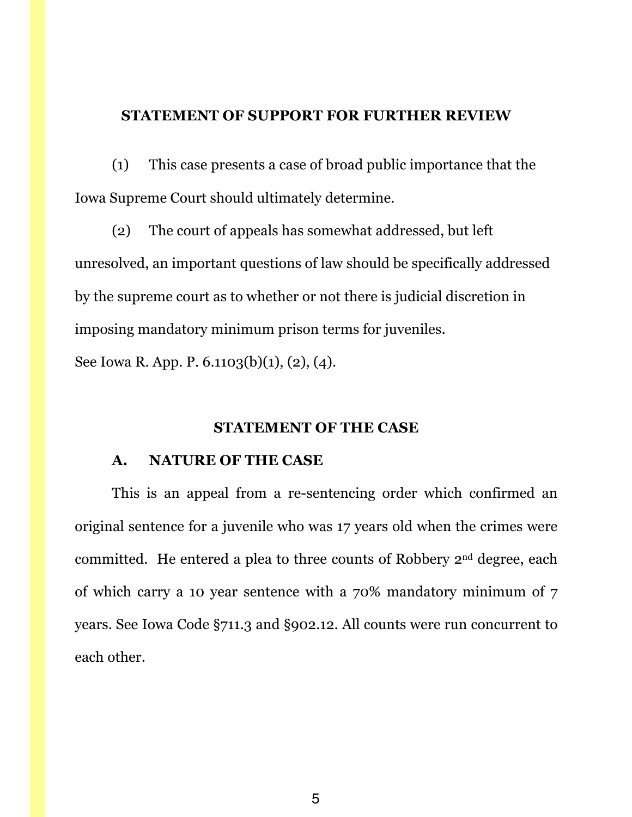### **STATEMENT OF SUPPORT FOR FURTHER REVIEW**

(1) This case presents a case of broad public importance that the Iowa Supreme Court should ultimately determine.

(2) The court of appeals has somewhat addressed, but left unresolved, an important questions of law should be specifically addressed by the supreme court as to whether or not there is judicial discretion in imposing mandatory minimum prison terms for juveniles.

See Iowa R. App. P. 6.1103(b)(1), (2), (4).

#### **STATEMENT OF THE CASE**

#### **A. NATURE OF THE CASE**

This is an appeal from a re-sentencing order which confirmed an original sentence for a juvenile who was 17 years old when the crimes were committed. He entered a plea to three counts of Robbery 2nd degree, each of which carry a 10 year sentence with a 70% mandatory minimum of 7 years. See Iowa Code §711.3 and §902.12. All counts were run concurrent to each other.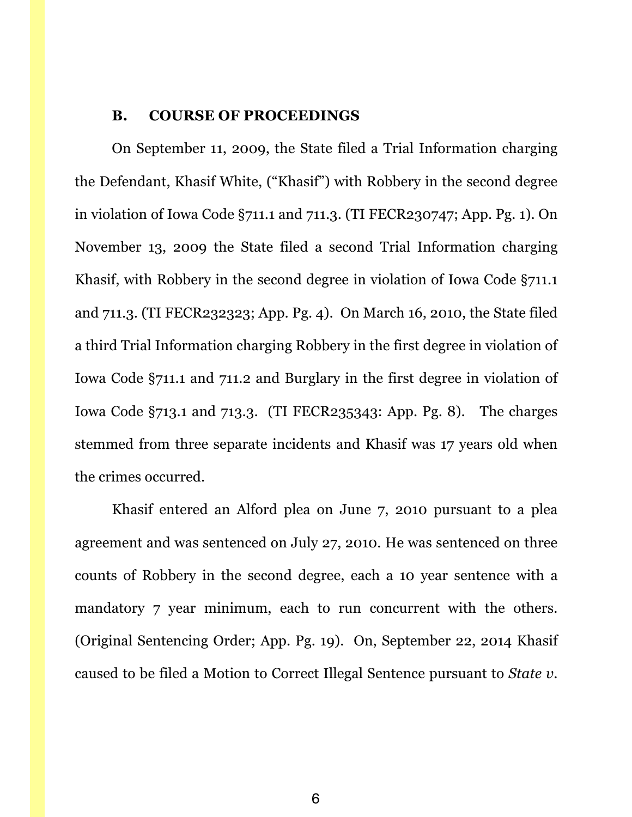#### **B. COURSE OF PROCEEDINGS**

On September 11, 2009, the State filed a Trial Information charging the Defendant, Khasif White, ("Khasif") with Robbery in the second degree in violation of Iowa Code §711.1 and 711.3. (TI FECR230747; App. Pg. 1). On November 13, 2009 the State filed a second Trial Information charging Khasif, with Robbery in the second degree in violation of Iowa Code §711.1 and 711.3. (TI FECR232323; App. Pg. 4). On March 16, 2010, the State filed a third Trial Information charging Robbery in the first degree in violation of Iowa Code §711.1 and 711.2 and Burglary in the first degree in violation of Iowa Code §713.1 and 713.3. (TI FECR235343: App. Pg. 8). The charges stemmed from three separate incidents and Khasif was 17 years old when the crimes occurred.

Khasif entered an Alford plea on June 7, 2010 pursuant to a plea agreement and was sentenced on July 27, 2010. He was sentenced on three counts of Robbery in the second degree, each a 10 year sentence with a mandatory 7 year minimum, each to run concurrent with the others. (Original Sentencing Order; App. Pg. 19). On, September 22, 2014 Khasif caused to be filed a Motion to Correct Illegal Sentence pursuant to *State v.*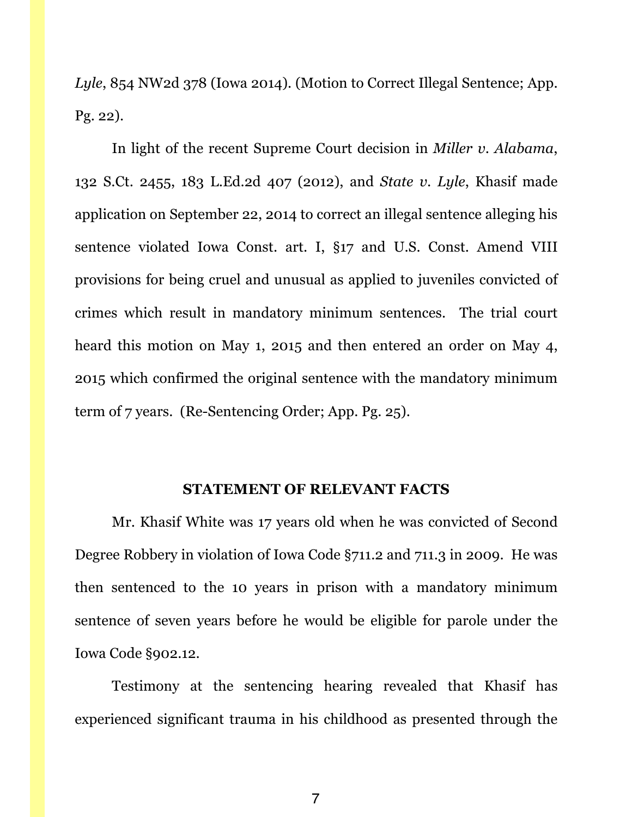*Lyle*, 854 NW2d 378 (Iowa 2014). (Motion to Correct Illegal Sentence; App. Pg. 22).

In light of the recent Supreme Court decision in *Miller v. Alabama*, 132 S.Ct. 2455, 183 L.Ed.2d 407 (2012), and *State v. Lyle*, Khasif made application on September 22, 2014 to correct an illegal sentence alleging his sentence violated Iowa Const. art. I, §17 and U.S. Const. Amend VIII provisions for being cruel and unusual as applied to juveniles convicted of crimes which result in mandatory minimum sentences. The trial court heard this motion on May 1, 2015 and then entered an order on May 4, 2015 which confirmed the original sentence with the mandatory minimum term of 7 years. (Re-Sentencing Order; App. Pg. 25).

#### **STATEMENT OF RELEVANT FACTS**

Mr. Khasif White was 17 years old when he was convicted of Second Degree Robbery in violation of Iowa Code §711.2 and 711.3 in 2009. He was then sentenced to the 10 years in prison with a mandatory minimum sentence of seven years before he would be eligible for parole under the Iowa Code §902.12.

Testimony at the sentencing hearing revealed that Khasif has experienced significant trauma in his childhood as presented through the

7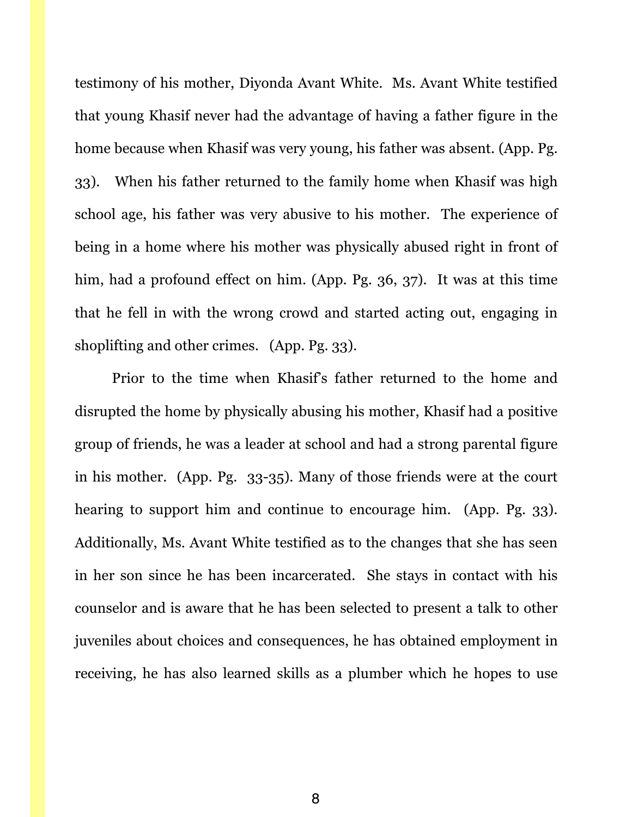testimony of his mother, Diyonda Avant White. Ms. Avant White testified that young Khasif never had the advantage of having a father figure in the home because when Khasif was very young, his father was absent. (App. Pg. 33). When his father returned to the family home when Khasif was high school age, his father was very abusive to his mother. The experience of being in a home where his mother was physically abused right in front of him, had a profound effect on him. (App. Pg. 36, 37). It was at this time that he fell in with the wrong crowd and started acting out, engaging in shoplifting and other crimes. (App. Pg. 33).

Prior to the time when Khasif's father returned to the home and disrupted the home by physically abusing his mother, Khasif had a positive group of friends, he was a leader at school and had a strong parental figure in his mother. (App. Pg. 33-35). Many of those friends were at the court hearing to support him and continue to encourage him. (App. Pg. 33). Additionally, Ms. Avant White testified as to the changes that she has seen in her son since he has been incarcerated. She stays in contact with his counselor and is aware that he has been selected to present a talk to other juveniles about choices and consequences, he has obtained employment in receiving, he has also learned skills as a plumber which he hopes to use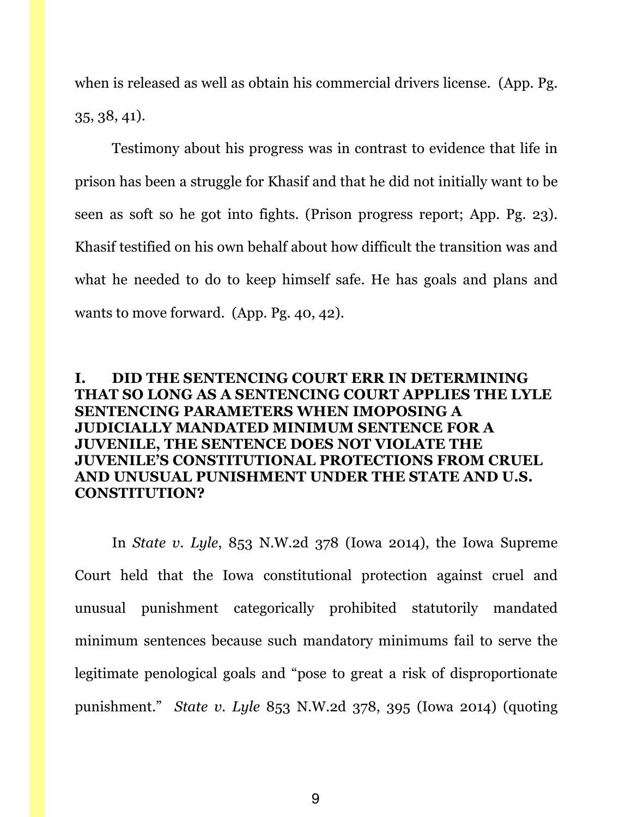when is released as well as obtain his commercial drivers license. (App. Pg. 35, 38, 41).

Testimony about his progress was in contrast to evidence that life in prison has been a struggle for Khasif and that he did not initially want to be seen as soft so he got into fights. (Prison progress report; App. Pg. 23). Khasif testified on his own behalf about how difficult the transition was and what he needed to do to keep himself safe. He has goals and plans and wants to move forward. (App. Pg. 40, 42).

## **I. DID THE SENTENCING COURT ERR IN DETERMINING THAT SO LONG AS A SENTENCING COURT APPLIES THE LYLE SENTENCING PARAMETERS WHEN IMOPOSING A JUDICIALLY MANDATED MINIMUM SENTENCE FOR A JUVENILE, THE SENTENCE DOES NOT VIOLATE THE JUVENILE'S CONSTITUTIONAL PROTECTIONS FROM CRUEL AND UNUSUAL PUNISHMENT UNDER THE STATE AND U.S. CONSTITUTION?**

In *State v. Lyle*, 853 N.W.2d 378 (Iowa 2014), the Iowa Supreme Court held that the Iowa constitutional protection against cruel and unusual punishment categorically prohibited statutorily mandated minimum sentences because such mandatory minimums fail to serve the legitimate penological goals and "pose to great a risk of disproportionate punishment." *State v. Lyle* 853 N.W.2d 378, 395 (Iowa 2014) (quoting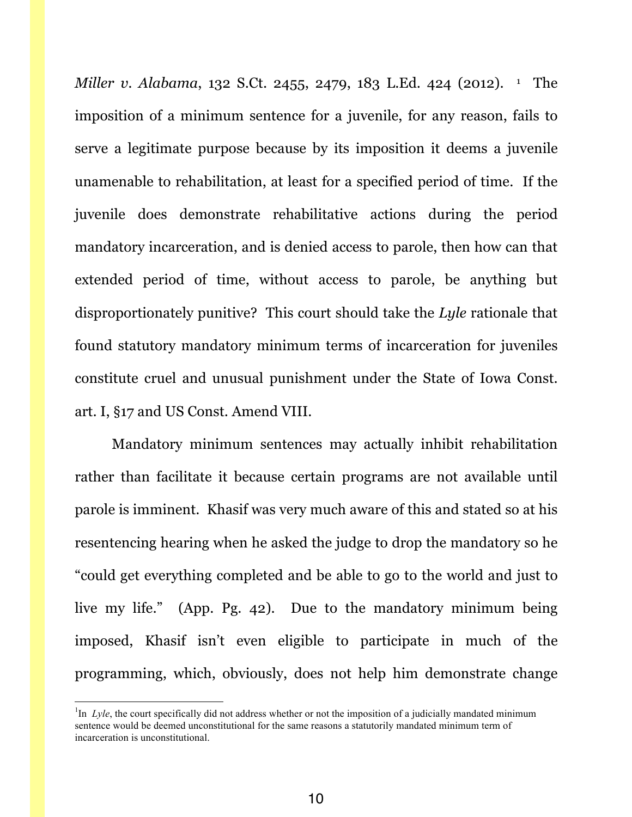*Miller v. Alabama*, 132 S.Ct. 2455, 2479, 183 L.Ed. 424 (2012). <sup>1</sup> The imposition of a minimum sentence for a juvenile, for any reason, fails to serve a legitimate purpose because by its imposition it deems a juvenile unamenable to rehabilitation, at least for a specified period of time. If the juvenile does demonstrate rehabilitative actions during the period mandatory incarceration, and is denied access to parole, then how can that extended period of time, without access to parole, be anything but disproportionately punitive? This court should take the *Lyle* rationale that found statutory mandatory minimum terms of incarceration for juveniles constitute cruel and unusual punishment under the State of Iowa Const. art. I, §17 and US Const. Amend VIII.

Mandatory minimum sentences may actually inhibit rehabilitation rather than facilitate it because certain programs are not available until parole is imminent. Khasif was very much aware of this and stated so at his resentencing hearing when he asked the judge to drop the mandatory so he "could get everything completed and be able to go to the world and just to live my life." (App. Pg. 42). Due to the mandatory minimum being imposed, Khasif isn't even eligible to participate in much of the programming, which, obviously, does not help him demonstrate change

 $\frac{1}{1}$ <sup>1</sup>In *Lyle*, the court specifically did not address whether or not the imposition of a judicially mandated minimum sentence would be deemed unconstitutional for the same reasons a statutorily mandated minimum term of incarceration is unconstitutional.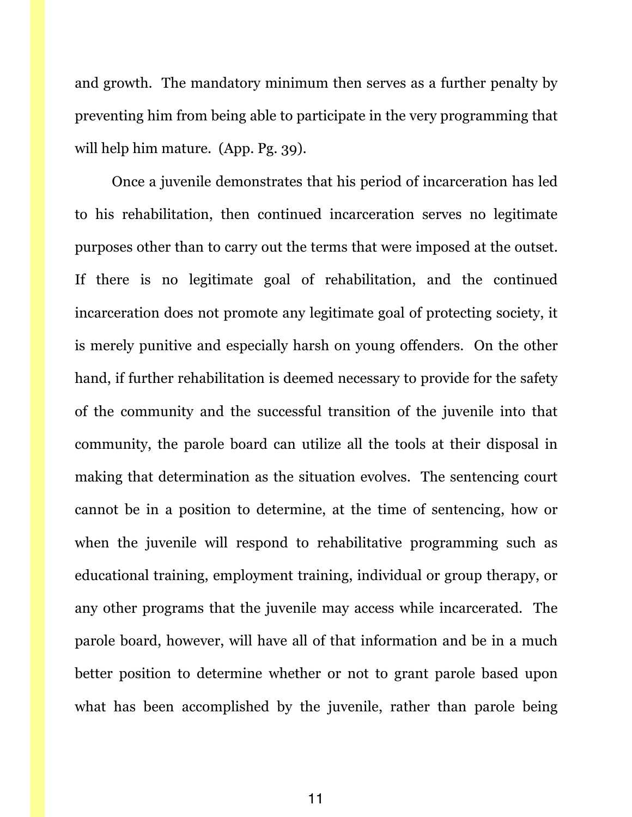and growth. The mandatory minimum then serves as a further penalty by preventing him from being able to participate in the very programming that will help him mature. (App. Pg. 39).

Once a juvenile demonstrates that his period of incarceration has led to his rehabilitation, then continued incarceration serves no legitimate purposes other than to carry out the terms that were imposed at the outset. If there is no legitimate goal of rehabilitation, and the continued incarceration does not promote any legitimate goal of protecting society, it is merely punitive and especially harsh on young offenders. On the other hand, if further rehabilitation is deemed necessary to provide for the safety of the community and the successful transition of the juvenile into that community, the parole board can utilize all the tools at their disposal in making that determination as the situation evolves. The sentencing court cannot be in a position to determine, at the time of sentencing, how or when the juvenile will respond to rehabilitative programming such as educational training, employment training, individual or group therapy, or any other programs that the juvenile may access while incarcerated. The parole board, however, will have all of that information and be in a much better position to determine whether or not to grant parole based upon what has been accomplished by the juvenile, rather than parole being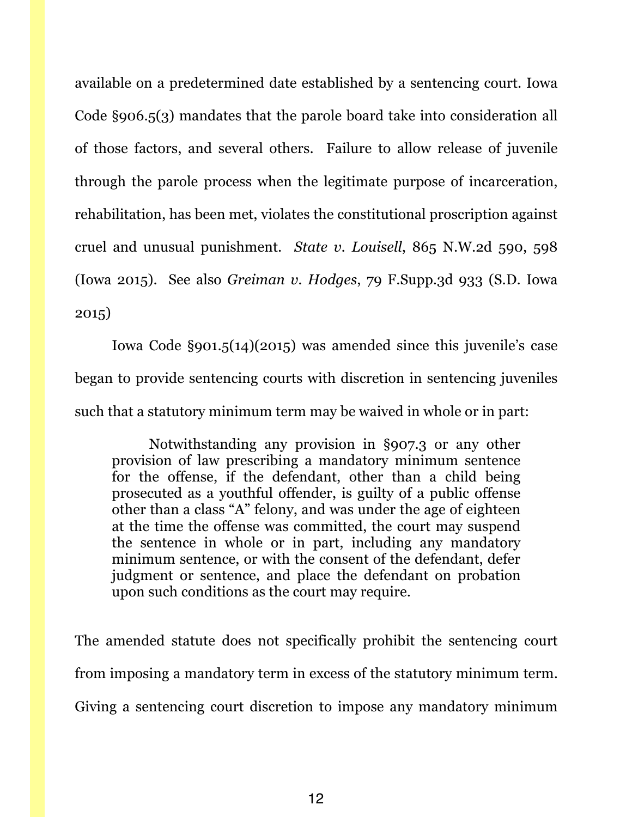available on a predetermined date established by a sentencing court. Iowa Code §906.5(3) mandates that the parole board take into consideration all of those factors, and several others. Failure to allow release of juvenile through the parole process when the legitimate purpose of incarceration, rehabilitation, has been met, violates the constitutional proscription against cruel and unusual punishment. *State v. Louisell*, 865 N.W.2d 590, 598 (Iowa 2015). See also *Greiman v. Hodges*, 79 F.Supp.3d 933 (S.D. Iowa 2015)

Iowa Code §901.5(14)(2015) was amended since this juvenile's case began to provide sentencing courts with discretion in sentencing juveniles such that a statutory minimum term may be waived in whole or in part:

Notwithstanding any provision in §907.3 or any other provision of law prescribing a mandatory minimum sentence for the offense, if the defendant, other than a child being prosecuted as a youthful offender, is guilty of a public offense other than a class "A" felony, and was under the age of eighteen at the time the offense was committed, the court may suspend the sentence in whole or in part, including any mandatory minimum sentence, or with the consent of the defendant, defer judgment or sentence, and place the defendant on probation upon such conditions as the court may require.

The amended statute does not specifically prohibit the sentencing court from imposing a mandatory term in excess of the statutory minimum term. Giving a sentencing court discretion to impose any mandatory minimum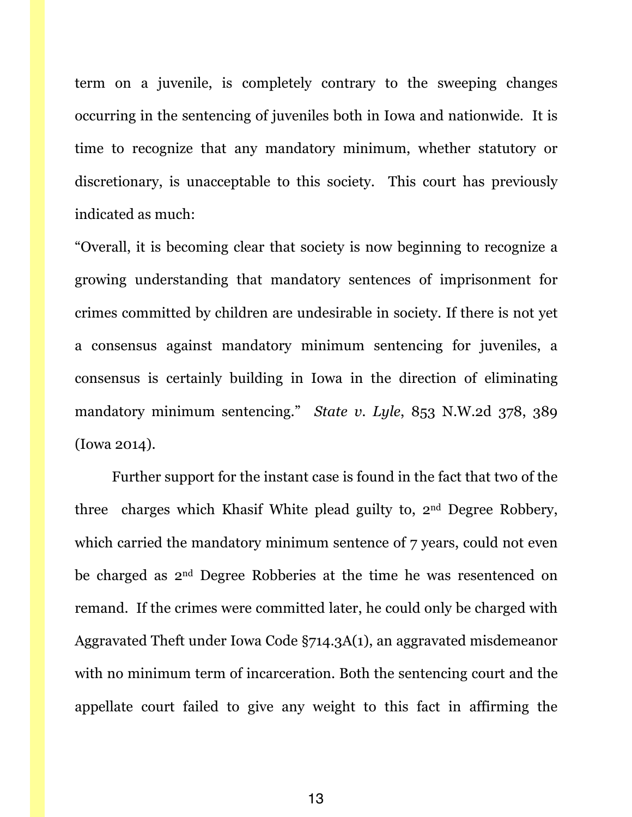term on a juvenile, is completely contrary to the sweeping changes occurring in the sentencing of juveniles both in Iowa and nationwide. It is time to recognize that any mandatory minimum, whether statutory or discretionary, is unacceptable to this society. This court has previously indicated as much:

"Overall, it is becoming clear that society is now beginning to recognize a growing understanding that mandatory sentences of imprisonment for crimes committed by children are undesirable in society. If there is not yet a consensus against mandatory minimum sentencing for juveniles, a consensus is certainly building in Iowa in the direction of eliminating mandatory minimum sentencing." *State v. Lyle*, 853 N.W.2d 378, 389 (Iowa 2014).

Further support for the instant case is found in the fact that two of the three charges which Khasif White plead guilty to, 2nd Degree Robbery, which carried the mandatory minimum sentence of 7 years, could not even be charged as 2nd Degree Robberies at the time he was resentenced on remand. If the crimes were committed later, he could only be charged with Aggravated Theft under Iowa Code §714.3A(1), an aggravated misdemeanor with no minimum term of incarceration. Both the sentencing court and the appellate court failed to give any weight to this fact in affirming the

13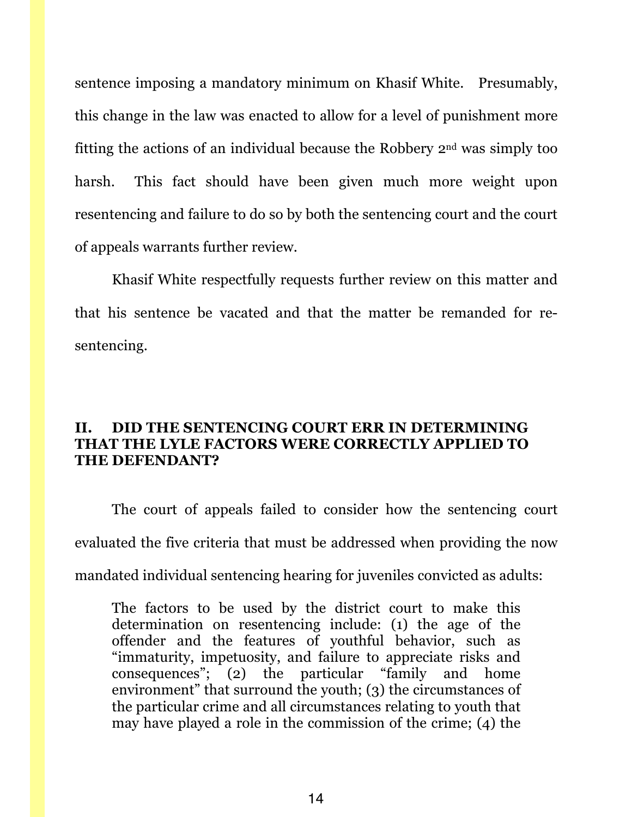sentence imposing a mandatory minimum on Khasif White. Presumably, this change in the law was enacted to allow for a level of punishment more fitting the actions of an individual because the Robbery 2nd was simply too harsh. This fact should have been given much more weight upon resentencing and failure to do so by both the sentencing court and the court of appeals warrants further review.

Khasif White respectfully requests further review on this matter and that his sentence be vacated and that the matter be remanded for resentencing.

## **II. DID THE SENTENCING COURT ERR IN DETERMINING THAT THE LYLE FACTORS WERE CORRECTLY APPLIED TO THE DEFENDANT?**

The court of appeals failed to consider how the sentencing court evaluated the five criteria that must be addressed when providing the now mandated individual sentencing hearing for juveniles convicted as adults:

The factors to be used by the district court to make this determination on resentencing include: (1) the age of the offender and the features of youthful behavior, such as "immaturity, impetuosity, and failure to appreciate risks and consequences"; (2) the particular "family and home environment" that surround the youth; (3) the circumstances of the particular crime and all circumstances relating to youth that may have played a role in the commission of the crime; (4) the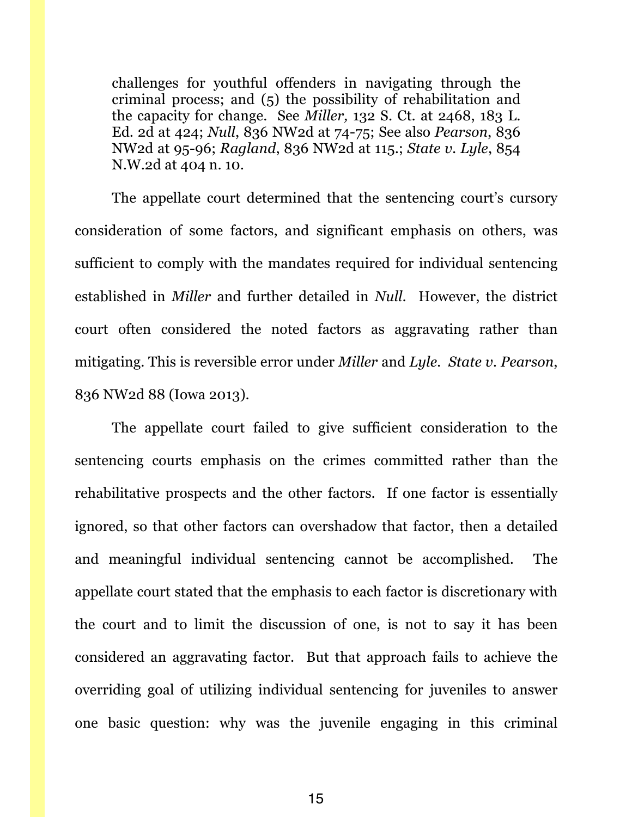challenges for youthful offenders in navigating through the criminal process; and (5) the possibility of rehabilitation and the capacity for change. See *Miller,* 132 S. Ct. at 2468, 183 L. Ed. 2d at 424; *Null*, 836 NW2d at 74-75; See also *Pearson*, 836 NW2d at 95-96; *Ragland*, 836 NW2d at 115.; *State v. Lyle*, 854 N.W.2d at 404 n. 10.

The appellate court determined that the sentencing court's cursory consideration of some factors, and significant emphasis on others, was sufficient to comply with the mandates required for individual sentencing established in *Miller* and further detailed in *Null*. However, the district court often considered the noted factors as aggravating rather than mitigating. This is reversible error under *Miller* and *Lyle. State v. Pearson*, 836 NW2d 88 (Iowa 2013).

The appellate court failed to give sufficient consideration to the sentencing courts emphasis on the crimes committed rather than the rehabilitative prospects and the other factors. If one factor is essentially ignored, so that other factors can overshadow that factor, then a detailed and meaningful individual sentencing cannot be accomplished. The appellate court stated that the emphasis to each factor is discretionary with the court and to limit the discussion of one, is not to say it has been considered an aggravating factor. But that approach fails to achieve the overriding goal of utilizing individual sentencing for juveniles to answer one basic question: why was the juvenile engaging in this criminal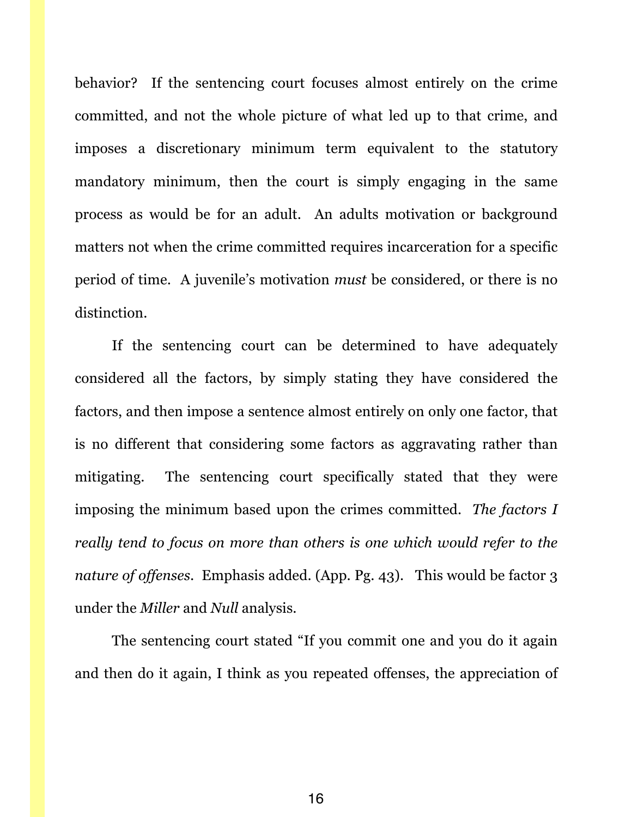behavior? If the sentencing court focuses almost entirely on the crime committed, and not the whole picture of what led up to that crime, and imposes a discretionary minimum term equivalent to the statutory mandatory minimum, then the court is simply engaging in the same process as would be for an adult. An adults motivation or background matters not when the crime committed requires incarceration for a specific period of time. A juvenile's motivation *must* be considered, or there is no distinction.

If the sentencing court can be determined to have adequately considered all the factors, by simply stating they have considered the factors, and then impose a sentence almost entirely on only one factor, that is no different that considering some factors as aggravating rather than mitigating. The sentencing court specifically stated that they were imposing the minimum based upon the crimes committed. *The factors I really tend to focus on more than others is one which would refer to the nature of offenses.* Emphasis added. (App. Pg. 43). This would be factor 3 under the *Miller* and *Null* analysis.

The sentencing court stated "If you commit one and you do it again and then do it again, I think as you repeated offenses, the appreciation of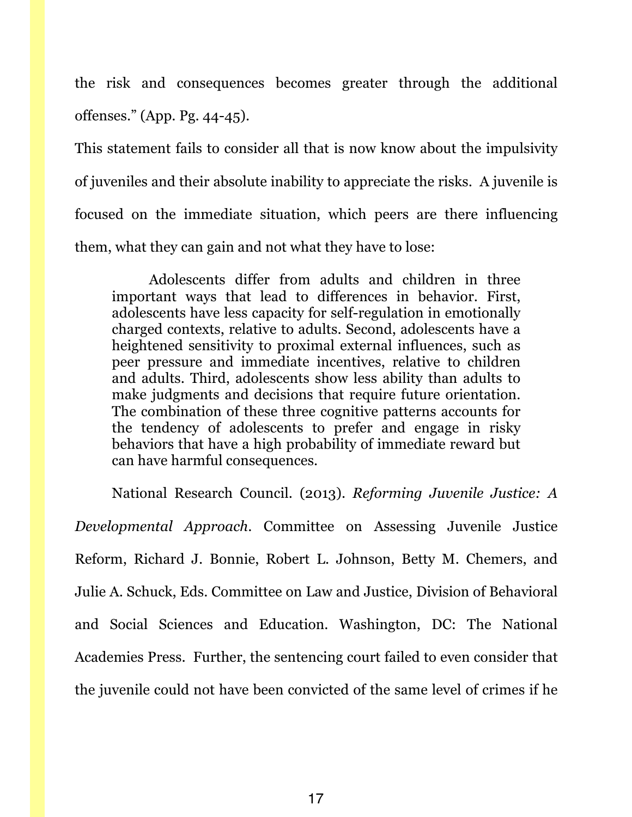the risk and consequences becomes greater through the additional offenses." (App. Pg. 44-45).

This statement fails to consider all that is now know about the impulsivity of juveniles and their absolute inability to appreciate the risks. A juvenile is focused on the immediate situation, which peers are there influencing them, what they can gain and not what they have to lose:

Adolescents differ from adults and children in three important ways that lead to differences in behavior. First, adolescents have less capacity for self-regulation in emotionally charged contexts, relative to adults. Second, adolescents have a heightened sensitivity to proximal external influences, such as peer pressure and immediate incentives, relative to children and adults. Third, adolescents show less ability than adults to make judgments and decisions that require future orientation. The combination of these three cognitive patterns accounts for the tendency of adolescents to prefer and engage in risky behaviors that have a high probability of immediate reward but can have harmful consequences.

National Research Council. (2013). *Reforming Juvenile Justice: A Developmental Approach*. Committee on Assessing Juvenile Justice Reform, Richard J. Bonnie, Robert L. Johnson, Betty M. Chemers, and Julie A. Schuck, Eds. Committee on Law and Justice, Division of Behavioral and Social Sciences and Education. Washington, DC: The National Academies Press. Further, the sentencing court failed to even consider that the juvenile could not have been convicted of the same level of crimes if he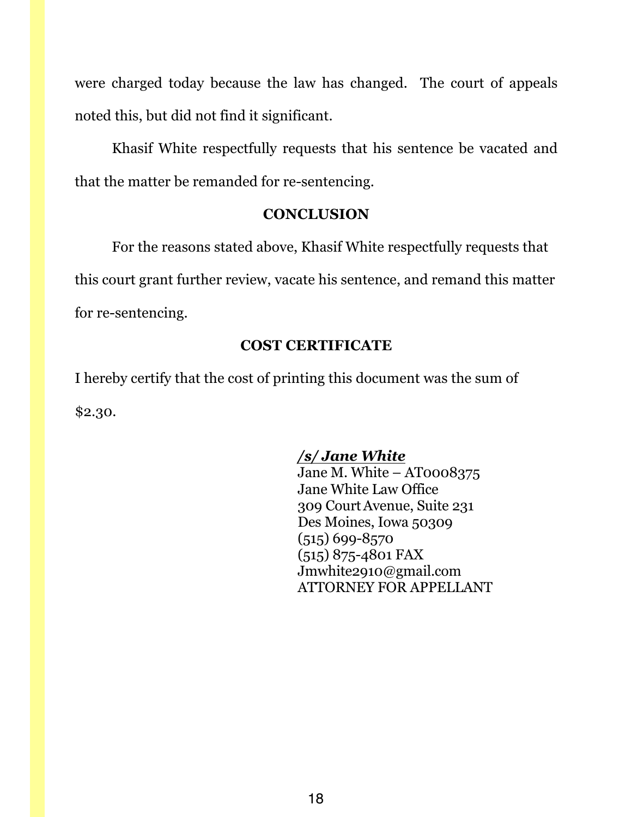were charged today because the law has changed. The court of appeals noted this, but did not find it significant.

Khasif White respectfully requests that his sentence be vacated and that the matter be remanded for re-sentencing.

## **CONCLUSION**

For the reasons stated above, Khasif White respectfully requests that this court grant further review, vacate his sentence, and remand this matter for re-sentencing.

# **COST CERTIFICATE**

I hereby certify that the cost of printing this document was the sum of \$2.30.

# */s/ Jane White*

Jane M. White – AT0008375 Jane White Law Office 309 CourtAvenue, Suite 231 Des Moines, Iowa 50309 (515) 699-8570 (515) 875-4801 FAX Jmwhite2910@gmail.com ATTORNEY FOR APPELLANT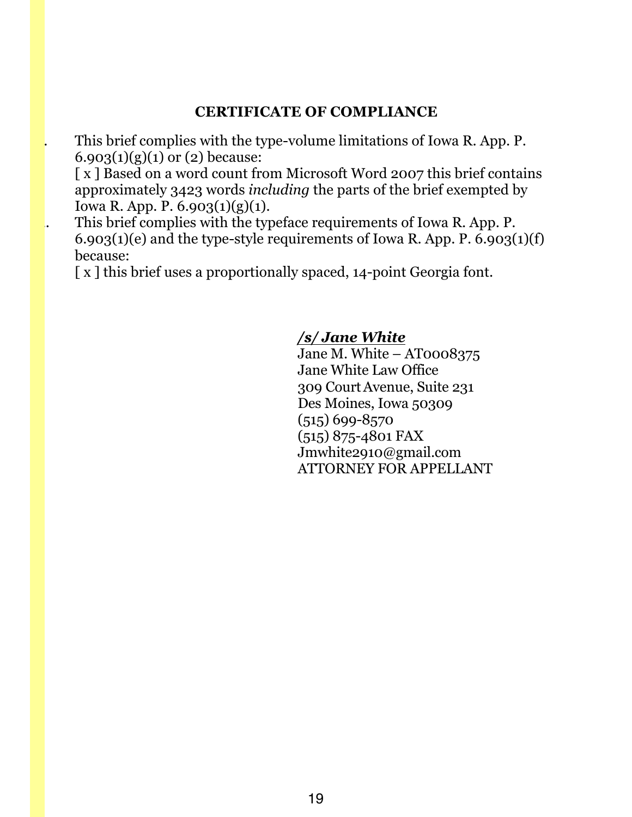## **CERTIFICATE OF COMPLIANCE**

This brief complies with the type-volume limitations of Iowa R. App. P. 6.903(1)(g)(1) or (2) because:

[x] Based on a word count from Microsoft Word 2007 this brief contains approximately 3423 words *including* the parts of the brief exempted by Iowa R. App. P. 6.903(1)(g)(1).

This brief complies with the typeface requirements of Iowa R. App. P. 6.903(1)(e) and the type-style requirements of Iowa R. App. P.  $6.903(1)(f)$ because:

[x] this brief uses a proportionally spaced, 14-point Georgia font.

## */s/ Jane White*

Jane M. White – AT0008375 Jane White Law Office 309 CourtAvenue, Suite 231 Des Moines, Iowa 50309 (515) 699-8570 (515) 875-4801 FAX Jmwhite2910@gmail.com ATTORNEY FOR APPELLANT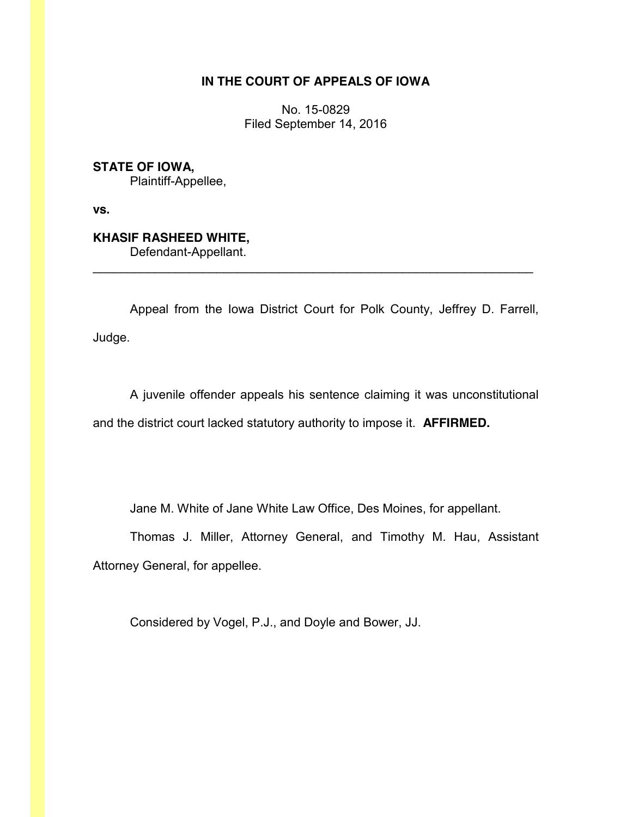#### **IN THE COURT OF APPEALS OF IOWA**

No. 15-0829 Filed September 14, 2016

**STATE OF IOWA,** Plaintiff-Appellee,

**vs.**

**KHASIF RASHEED WHITE,** Defendant-Appellant.

Appeal from the Iowa District Court for Polk County, Jeffrey D. Farrell, Judge.

 $\mathcal{L}_\text{max}$  and  $\mathcal{L}_\text{max}$  and  $\mathcal{L}_\text{max}$  and  $\mathcal{L}_\text{max}$  and  $\mathcal{L}_\text{max}$  and  $\mathcal{L}_\text{max}$ 

A juvenile offender appeals his sentence claiming it was unconstitutional and the district court lacked statutory authority to impose it. **AFFIRMED.**

Jane M. White of Jane White Law Office, Des Moines, for appellant.

Thomas J. Miller, Attorney General, and Timothy M. Hau, Assistant Attorney General, for appellee.

Considered by Vogel, P.J., and Doyle and Bower, JJ.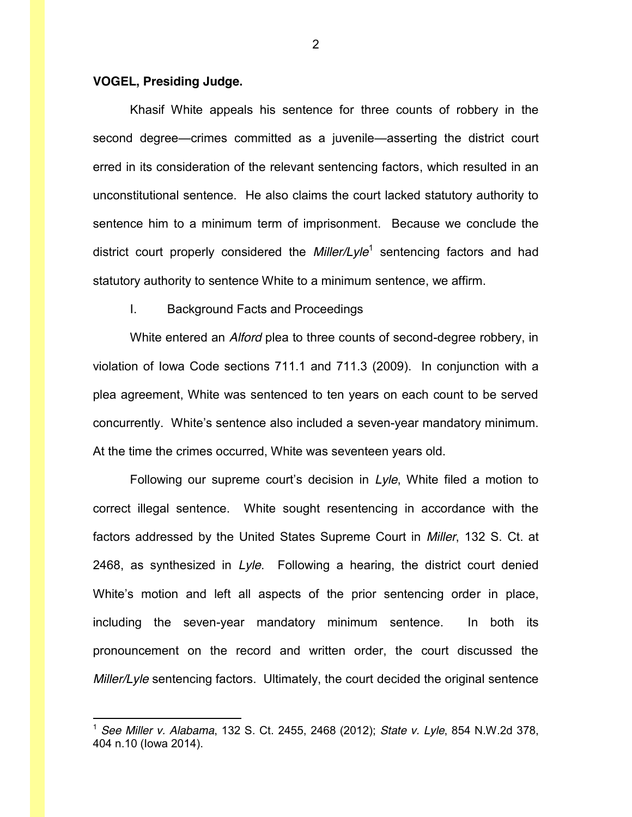#### **VOGEL, Presiding Judge.**

Khasif White appeals his sentence for three counts of robbery in the second degree—crimes committed as a juvenile—asserting the district court erred in its consideration of the relevant sentencing factors, which resulted in an unconstitutional sentence. He also claims the court lacked statutory authority to sentence him to a minimum term of imprisonment. Because we conclude the district court properly considered the *Miller/Lyle*<sup>1</sup> sentencing factors and had statutory authority to sentence White to a minimum sentence, we affirm.

#### I. Background Facts and Proceedings

White entered an *Alford* plea to three counts of second-degree robbery, in violation of Iowa Code sections 711.1 and 711.3 (2009). In conjunction with a plea agreement, White was sentenced to ten years on each count to be served concurrently. White's sentence also included a seven-year mandatory minimum. At the time the crimes occurred, White was seventeen years old.

Following our supreme court's decision in *Lyle*, White filed a motion to correct illegal sentence. White sought resentencing in accordance with the factors addressed by the United States Supreme Court in *Miller*, 132 S. Ct. at 2468, as synthesized in *Lyle*. Following a hearing, the district court denied White's motion and left all aspects of the prior sentencing order in place, including the seven-year mandatory minimum sentence. In both its pronouncement on the record and written order, the court discussed the *Miller/Lyle* sentencing factors. Ultimately, the court decided the original sentence

 <sup>1</sup> *See Miller v. Alabama*, 132 S. Ct. 2455, 2468 (2012); *State v. Lyle*, 854 N.W.2d 378, 404 n.10 (Iowa 2014).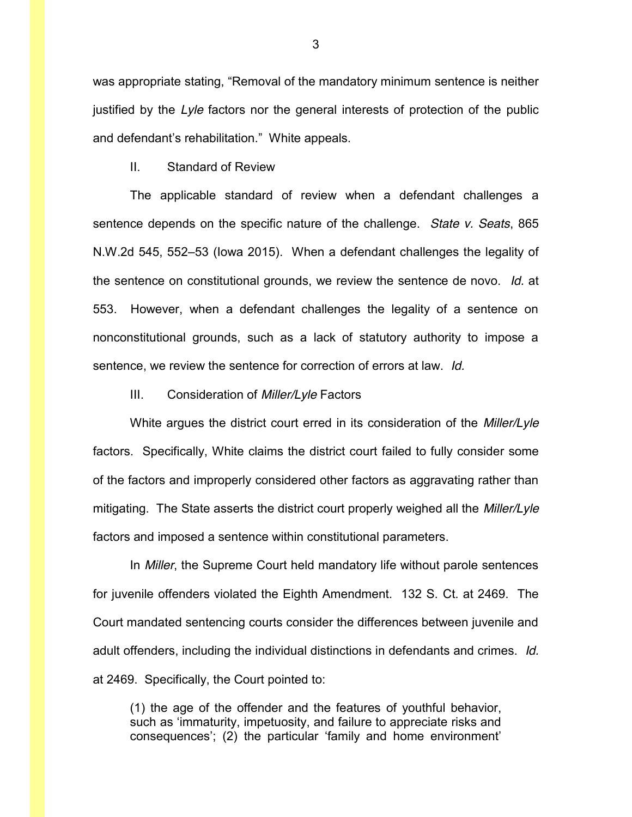was appropriate stating, "Removal of the mandatory minimum sentence is neither justified by the *Lyle* factors nor the general interests of protection of the public and defendant's rehabilitation." White appeals.

II. Standard of Review

The applicable standard of review when a defendant challenges a sentence depends on the specific nature of the challenge. *State v. Seats*, 865 N.W.2d 545, 552–53 (Iowa 2015). When a defendant challenges the legality of the sentence on constitutional grounds, we review the sentence de novo. *Id.* at 553. However, when a defendant challenges the legality of a sentence on nonconstitutional grounds, such as a lack of statutory authority to impose a sentence, we review the sentence for correction of errors at law. *Id.*

III. Consideration of *Miller/Lyle* Factors

White argues the district court erred in its consideration of the *Miller/Lyle* factors. Specifically, White claims the district court failed to fully consider some of the factors and improperly considered other factors as aggravating rather than mitigating. The State asserts the district court properly weighed all the *Miller/Lyle* factors and imposed a sentence within constitutional parameters.

In *Miller*, the Supreme Court held mandatory life without parole sentences for juvenile offenders violated the Eighth Amendment. 132 S. Ct. at 2469. The Court mandated sentencing courts consider the differences between juvenile and adult offenders, including the individual distinctions in defendants and crimes. *Id.* at 2469. Specifically, the Court pointed to:

(1) the age of the offender and the features of youthful behavior, such as 'immaturity, impetuosity, and failure to appreciate risks and consequences'; (2) the particular 'family and home environment'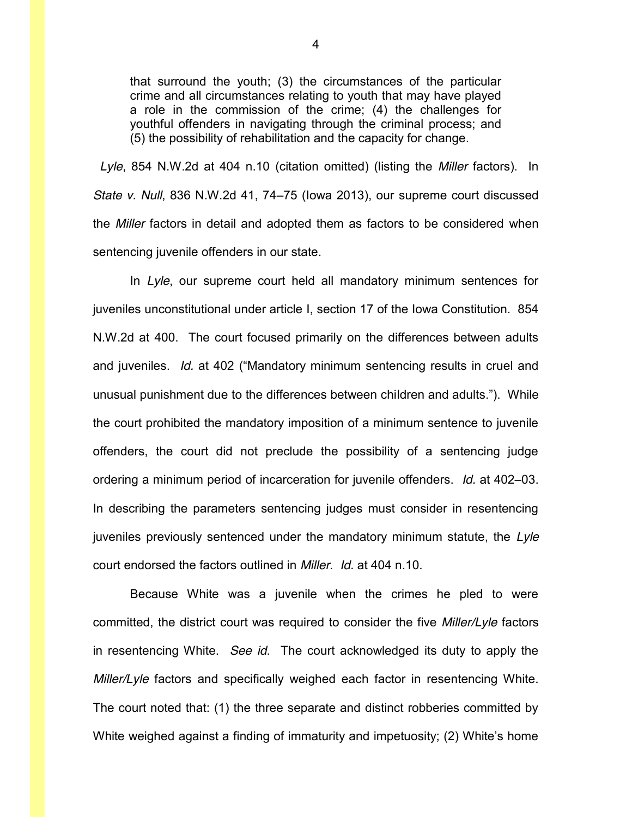that surround the youth; (3) the circumstances of the particular crime and all circumstances relating to youth that may have played a role in the commission of the crime; (4) the challenges for youthful offenders in navigating through the criminal process; and (5) the possibility of rehabilitation and the capacity for change.

 *Lyle*, 854 N.W.2d at 404 n.10 (citation omitted) (listing the *Miller* factors). In *State v. Null*, 836 N.W.2d 41, 74–75 (Iowa 2013), our supreme court discussed the *Miller* factors in detail and adopted them as factors to be considered when sentencing juvenile offenders in our state.

In *Lyle*, our supreme court held all mandatory minimum sentences for juveniles unconstitutional under article I, section 17 of the Iowa Constitution. 854 N.W.2d at 400. The court focused primarily on the differences between adults and juveniles. *Id.* at 402 ("Mandatory minimum sentencing results in cruel and unusual punishment due to the differences between children and adults."). While the court prohibited the mandatory imposition of a minimum sentence to juvenile offenders, the court did not preclude the possibility of a sentencing judge ordering a minimum period of incarceration for juvenile offenders. *Id.* at 402–03. In describing the parameters sentencing judges must consider in resentencing juveniles previously sentenced under the mandatory minimum statute, the *Lyle* court endorsed the factors outlined in *Miller*. *Id.* at 404 n.10.

Because White was a juvenile when the crimes he pled to were committed, the district court was required to consider the five *Miller/Lyle* factors in resentencing White. *See id*. The court acknowledged its duty to apply the *Miller/Lyle* factors and specifically weighed each factor in resentencing White. The court noted that: (1) the three separate and distinct robberies committed by White weighed against a finding of immaturity and impetuosity; (2) White's home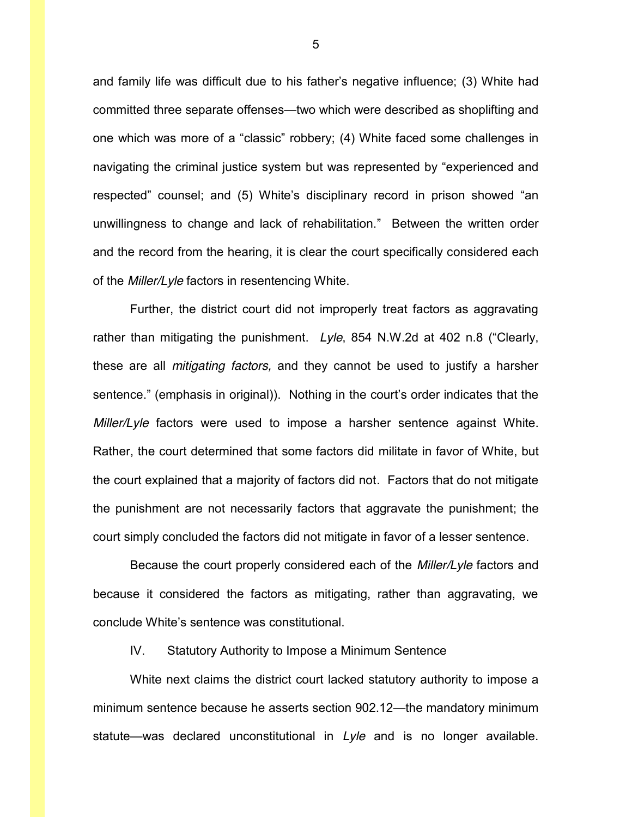and family life was difficult due to his father's negative influence; (3) White had committed three separate offenses—two which were described as shoplifting and one which was more of a "classic" robbery; (4) White faced some challenges in navigating the criminal justice system but was represented by "experienced and respected" counsel; and (5) White's disciplinary record in prison showed "an unwillingness to change and lack of rehabilitation." Between the written order and the record from the hearing, it is clear the court specifically considered each of the *Miller/Lyle* factors in resentencing White.

Further, the district court did not improperly treat factors as aggravating rather than mitigating the punishment. *Lyle*, 854 N.W.2d at 402 n.8 ("Clearly, these are all *mitigating factors,* and they cannot be used to justify a harsher sentence." (emphasis in original)). Nothing in the court's order indicates that the *Miller/Lyle* factors were used to impose a harsher sentence against White. Rather, the court determined that some factors did militate in favor of White, but the court explained that a majority of factors did not. Factors that do not mitigate the punishment are not necessarily factors that aggravate the punishment; the court simply concluded the factors did not mitigate in favor of a lesser sentence.

Because the court properly considered each of the *Miller/Lyle* factors and because it considered the factors as mitigating, rather than aggravating, we conclude White's sentence was constitutional.

IV. Statutory Authority to Impose a Minimum Sentence

White next claims the district court lacked statutory authority to impose a minimum sentence because he asserts section 902.12—the mandatory minimum statute—was declared unconstitutional in *Lyle* and is no longer available.

5